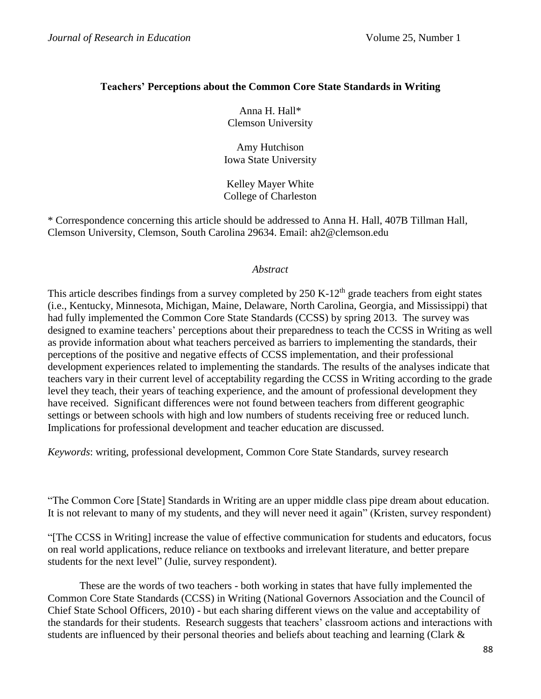## **Teachers' Perceptions about the Common Core State Standards in Writing**

Anna H. Hall\* Clemson University

Amy Hutchison Iowa State University

Kelley Mayer White College of Charleston

\* Correspondence concerning this article should be addressed to Anna H. Hall, 407B Tillman Hall, Clemson University, Clemson, South Carolina 29634. Email: ah2@clemson.edu

## *Abstract*

This article describes findings from a survey completed by 250 K-12<sup>th</sup> grade teachers from eight states (i.e., Kentucky, Minnesota, Michigan, Maine, Delaware, North Carolina, Georgia, and Mississippi) that had fully implemented the Common Core State Standards (CCSS) by spring 2013. The survey was designed to examine teachers' perceptions about their preparedness to teach the CCSS in Writing as well as provide information about what teachers perceived as barriers to implementing the standards, their perceptions of the positive and negative effects of CCSS implementation, and their professional development experiences related to implementing the standards. The results of the analyses indicate that teachers vary in their current level of acceptability regarding the CCSS in Writing according to the grade level they teach, their years of teaching experience, and the amount of professional development they have received. Significant differences were not found between teachers from different geographic settings or between schools with high and low numbers of students receiving free or reduced lunch. Implications for professional development and teacher education are discussed.

*Keywords*: writing, professional development, Common Core State Standards, survey research

"The Common Core [State] Standards in Writing are an upper middle class pipe dream about education. It is not relevant to many of my students, and they will never need it again" (Kristen, survey respondent)

"[The CCSS in Writing] increase the value of effective communication for students and educators, focus on real world applications, reduce reliance on textbooks and irrelevant literature, and better prepare students for the next level" (Julie, survey respondent).

These are the words of two teachers - both working in states that have fully implemented the Common Core State Standards (CCSS) in Writing (National Governors Association and the Council of Chief State School Officers, 2010) - but each sharing different views on the value and acceptability of the standards for their students. Research suggests that teachers' classroom actions and interactions with students are influenced by their personal theories and beliefs about teaching and learning (Clark &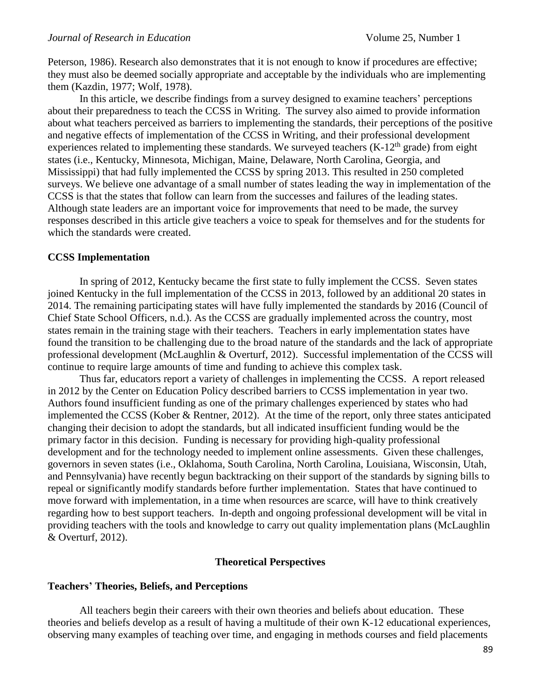Peterson, 1986). Research also demonstrates that it is not enough to know if procedures are effective; they must also be deemed socially appropriate and acceptable by the individuals who are implementing them (Kazdin, 1977; Wolf, 1978).

In this article, we describe findings from a survey designed to examine teachers' perceptions about their preparedness to teach the CCSS in Writing. The survey also aimed to provide information about what teachers perceived as barriers to implementing the standards, their perceptions of the positive and negative effects of implementation of the CCSS in Writing, and their professional development experiences related to implementing these standards. We surveyed teachers  $(K-12<sup>th</sup> grade)$  from eight states (i.e., Kentucky, Minnesota, Michigan, Maine, Delaware, North Carolina, Georgia, and Mississippi) that had fully implemented the CCSS by spring 2013. This resulted in 250 completed surveys. We believe one advantage of a small number of states leading the way in implementation of the CCSS is that the states that follow can learn from the successes and failures of the leading states. Although state leaders are an important voice for improvements that need to be made, the survey responses described in this article give teachers a voice to speak for themselves and for the students for which the standards were created.

#### **CCSS Implementation**

In spring of 2012, Kentucky became the first state to fully implement the CCSS. Seven states joined Kentucky in the full implementation of the CCSS in 2013, followed by an additional 20 states in 2014. The remaining participating states will have fully implemented the standards by 2016 (Council of Chief State School Officers, n.d.). As the CCSS are gradually implemented across the country, most states remain in the training stage with their teachers. Teachers in early implementation states have found the transition to be challenging due to the broad nature of the standards and the lack of appropriate professional development (McLaughlin & Overturf, 2012). Successful implementation of the CCSS will continue to require large amounts of time and funding to achieve this complex task.

Thus far, educators report a variety of challenges in implementing the CCSS. A report released in 2012 by the Center on Education Policy described barriers to CCSS implementation in year two. Authors found insufficient funding as one of the primary challenges experienced by states who had implemented the CCSS (Kober & Rentner, 2012). At the time of the report, only three states anticipated changing their decision to adopt the standards, but all indicated insufficient funding would be the primary factor in this decision. Funding is necessary for providing high-quality professional development and for the technology needed to implement online assessments. Given these challenges, governors in seven states (i.e., Oklahoma, South Carolina, North Carolina, Louisiana, Wisconsin, Utah, and Pennsylvania) have recently begun backtracking on their support of the standards by signing bills to repeal or significantly modify standards before further implementation. States that have continued to move forward with implementation, in a time when resources are scarce, will have to think creatively regarding how to best support teachers. In-depth and ongoing professional development will be vital in providing teachers with the tools and knowledge to carry out quality implementation plans (McLaughlin & Overturf, 2012).

#### **Theoretical Perspectives**

#### **Teachers' Theories, Beliefs, and Perceptions**

All teachers begin their careers with their own theories and beliefs about education. These theories and beliefs develop as a result of having a multitude of their own K-12 educational experiences, observing many examples of teaching over time, and engaging in methods courses and field placements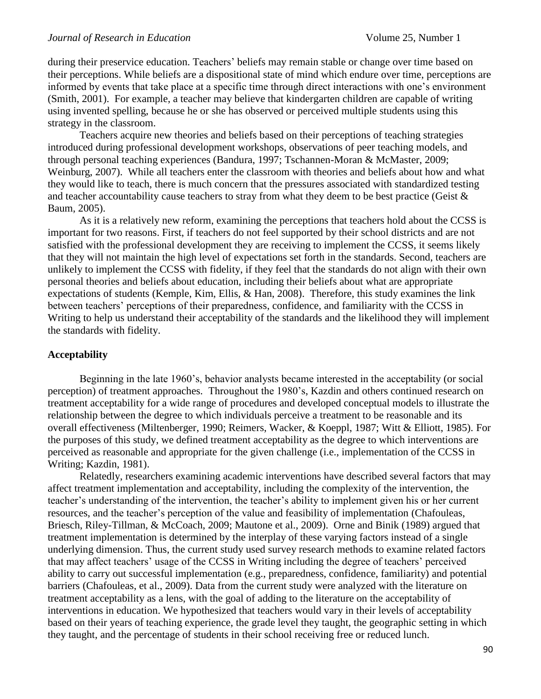#### *Journal of Research in Education*  $\blacksquare$   $\blacksquare$   $\blacksquare$   $\blacksquare$   $\blacksquare$   $\blacksquare$   $\blacksquare$   $\blacksquare$   $\blacksquare$   $\blacksquare$   $\blacksquare$   $\blacksquare$   $\blacksquare$   $\blacksquare$   $\blacksquare$   $\blacksquare$   $\blacksquare$   $\blacksquare$   $\blacksquare$   $\blacksquare$   $\blacksquare$   $\blacksquare$   $\blacksquare$   $\blacksquare$   $\blacksquare$   $\blacksquare$   $\blacksquare$

during their preservice education. Teachers' beliefs may remain stable or change over time based on their perceptions. While beliefs are a dispositional state of mind which endure over time, perceptions are informed by events that take place at a specific time through direct interactions with one's environment (Smith, 2001). For example, a teacher may believe that kindergarten children are capable of writing using invented spelling, because he or she has observed or perceived multiple students using this strategy in the classroom.

Teachers acquire new theories and beliefs based on their perceptions of teaching strategies introduced during professional development workshops, observations of peer teaching models, and through personal teaching experiences (Bandura, 1997; Tschannen-Moran & McMaster, 2009; Weinburg, 2007). While all teachers enter the classroom with theories and beliefs about how and what they would like to teach, there is much concern that the pressures associated with standardized testing and teacher accountability cause teachers to stray from what they deem to be best practice (Geist & Baum, 2005).

As it is a relatively new reform, examining the perceptions that teachers hold about the CCSS is important for two reasons. First, if teachers do not feel supported by their school districts and are not satisfied with the professional development they are receiving to implement the CCSS, it seems likely that they will not maintain the high level of expectations set forth in the standards. Second, teachers are unlikely to implement the CCSS with fidelity, if they feel that the standards do not align with their own personal theories and beliefs about education, including their beliefs about what are appropriate expectations of students (Kemple, Kim, Ellis, & Han, 2008). Therefore, this study examines the link between teachers' perceptions of their preparedness, confidence, and familiarity with the CCSS in Writing to help us understand their acceptability of the standards and the likelihood they will implement the standards with fidelity.

### **Acceptability**

Beginning in the late 1960's, behavior analysts became interested in the acceptability (or social perception) of treatment approaches. Throughout the 1980's, Kazdin and others continued research on treatment acceptability for a wide range of procedures and developed conceptual models to illustrate the relationship between the degree to which individuals perceive a treatment to be reasonable and its overall effectiveness (Miltenberger, 1990; Reimers, Wacker, & Koeppl, 1987; Witt & Elliott, 1985). For the purposes of this study, we defined treatment acceptability as the degree to which interventions are perceived as reasonable and appropriate for the given challenge (i.e., implementation of the CCSS in Writing; Kazdin, 1981).

Relatedly, researchers examining academic interventions have described several factors that may affect treatment implementation and acceptability, including the complexity of the intervention, the teacher's understanding of the intervention, the teacher's ability to implement given his or her current resources, and the teacher's perception of the value and feasibility of implementation (Chafouleas, Briesch, Riley-Tillman, & McCoach, 2009; Mautone et al., 2009). Orne and Binik (1989) argued that treatment implementation is determined by the interplay of these varying factors instead of a single underlying dimension. Thus, the current study used survey research methods to examine related factors that may affect teachers' usage of the CCSS in Writing including the degree of teachers' perceived ability to carry out successful implementation (e.g., preparedness, confidence, familiarity) and potential barriers (Chafouleas, et al., 2009). Data from the current study were analyzed with the literature on treatment acceptability as a lens, with the goal of adding to the literature on the acceptability of interventions in education. We hypothesized that teachers would vary in their levels of acceptability based on their years of teaching experience, the grade level they taught, the geographic setting in which they taught, and the percentage of students in their school receiving free or reduced lunch.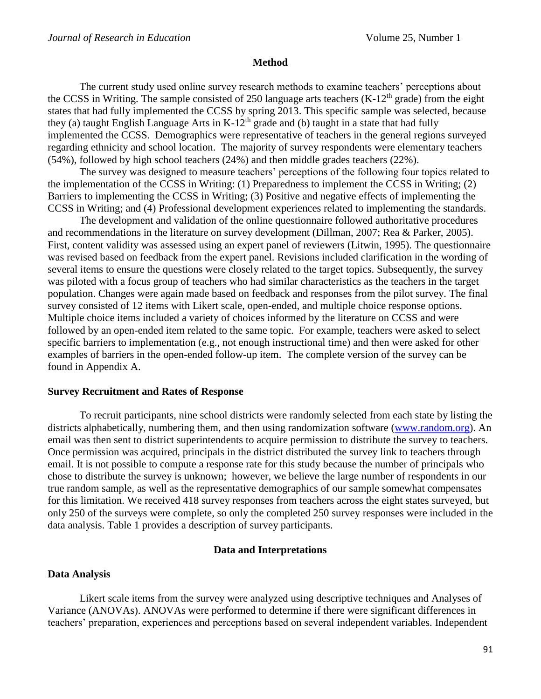#### **Method**

The current study used online survey research methods to examine teachers' perceptions about the CCSS in Writing. The sample consisted of 250 language arts teachers  $(K-12<sup>th</sup>$  grade) from the eight states that had fully implemented the CCSS by spring 2013. This specific sample was selected, because they (a) taught English Language Arts in  $K-12^{th}$  grade and (b) taught in a state that had fully implemented the CCSS. Demographics were representative of teachers in the general regions surveyed regarding ethnicity and school location. The majority of survey respondents were elementary teachers (54%), followed by high school teachers (24%) and then middle grades teachers (22%).

The survey was designed to measure teachers' perceptions of the following four topics related to the implementation of the CCSS in Writing: (1) Preparedness to implement the CCSS in Writing; (2) Barriers to implementing the CCSS in Writing; (3) Positive and negative effects of implementing the CCSS in Writing; and (4) Professional development experiences related to implementing the standards.

The development and validation of the online questionnaire followed authoritative procedures and recommendations in the literature on survey development (Dillman, 2007; Rea & Parker, 2005). First, content validity was assessed using an expert panel of reviewers (Litwin, 1995). The questionnaire was revised based on feedback from the expert panel. Revisions included clarification in the wording of several items to ensure the questions were closely related to the target topics. Subsequently, the survey was piloted with a focus group of teachers who had similar characteristics as the teachers in the target population. Changes were again made based on feedback and responses from the pilot survey. The final survey consisted of 12 items with Likert scale, open-ended, and multiple choice response options. Multiple choice items included a variety of choices informed by the literature on CCSS and were followed by an open-ended item related to the same topic. For example, teachers were asked to select specific barriers to implementation (e.g., not enough instructional time) and then were asked for other examples of barriers in the open-ended follow-up item. The complete version of the survey can be found in Appendix A.

#### **Survey Recruitment and Rates of Response**

To recruit participants, nine school districts were randomly selected from each state by listing the districts alphabetically, numbering them, and then using randomization software [\(www.random.org\)](http://www.random.org/). An email was then sent to district superintendents to acquire permission to distribute the survey to teachers. Once permission was acquired, principals in the district distributed the survey link to teachers through email. It is not possible to compute a response rate for this study because the number of principals who chose to distribute the survey is unknown; however, we believe the large number of respondents in our true random sample, as well as the representative demographics of our sample somewhat compensates for this limitation. We received 418 survey responses from teachers across the eight states surveyed, but only 250 of the surveys were complete, so only the completed 250 survey responses were included in the data analysis. Table 1 provides a description of survey participants.

#### **Data and Interpretations**

#### **Data Analysis**

Likert scale items from the survey were analyzed using descriptive techniques and Analyses of Variance (ANOVAs). ANOVAs were performed to determine if there were significant differences in teachers' preparation, experiences and perceptions based on several independent variables. Independent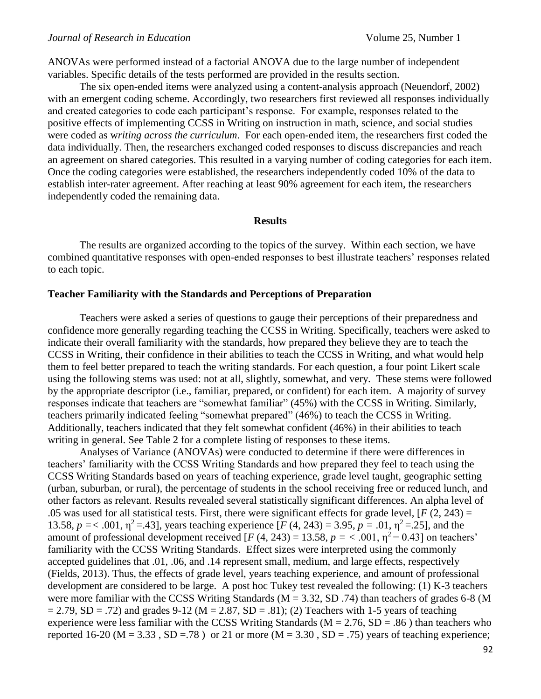ANOVAs were performed instead of a factorial ANOVA due to the large number of independent variables. Specific details of the tests performed are provided in the results section.

The six open-ended items were analyzed using a content-analysis approach (Neuendorf, 2002) with an emergent coding scheme. Accordingly, two researchers first reviewed all responses individually and created categories to code each participant's response. For example, responses related to the positive effects of implementing CCSS in Writing on instruction in math, science, and social studies were coded as w*riting across the curriculum*. For each open-ended item, the researchers first coded the data individually. Then, the researchers exchanged coded responses to discuss discrepancies and reach an agreement on shared categories. This resulted in a varying number of coding categories for each item. Once the coding categories were established, the researchers independently coded 10% of the data to establish inter-rater agreement. After reaching at least 90% agreement for each item, the researchers independently coded the remaining data.

#### **Results**

The results are organized according to the topics of the survey. Within each section, we have combined quantitative responses with open-ended responses to best illustrate teachers' responses related to each topic.

## **Teacher Familiarity with the Standards and Perceptions of Preparation**

Teachers were asked a series of questions to gauge their perceptions of their preparedness and confidence more generally regarding teaching the CCSS in Writing. Specifically, teachers were asked to indicate their overall familiarity with the standards, how prepared they believe they are to teach the CCSS in Writing, their confidence in their abilities to teach the CCSS in Writing, and what would help them to feel better prepared to teach the writing standards. For each question, a four point Likert scale using the following stems was used: not at all, slightly, somewhat, and very. These stems were followed by the appropriate descriptor (i.e., familiar, prepared, or confident) for each item. A majority of survey responses indicate that teachers are "somewhat familiar" (45%) with the CCSS in Writing. Similarly, teachers primarily indicated feeling "somewhat prepared" (46%) to teach the CCSS in Writing. Additionally, teachers indicated that they felt somewhat confident (46%) in their abilities to teach writing in general. See Table 2 for a complete listing of responses to these items.

Analyses of Variance (ANOVAs) were conducted to determine if there were differences in teachers' familiarity with the CCSS Writing Standards and how prepared they feel to teach using the CCSS Writing Standards based on years of teaching experience, grade level taught, geographic setting (urban, suburban, or rural), the percentage of students in the school receiving free or reduced lunch, and other factors as relevant. Results revealed several statistically significant differences. An alpha level of .05 was used for all statistical tests. First, there were significant effects for grade level,  $[F(2, 243) =$ 13.58,  $p = < .001$ ,  $\eta^2 = .43$ ], years teaching experience [*F* (4, 243) = 3.95,  $p = .01$ ,  $\eta^2 = .25$ ], and the amount of professional development received  $[F (4, 243) = 13.58, p = <.001, \eta^2 = 0.43]$  on teachers' familiarity with the CCSS Writing Standards. Effect sizes were interpreted using the commonly accepted guidelines that .01, .06, and .14 represent small, medium, and large effects, respectively (Fields, 2013). Thus, the effects of grade level, years teaching experience, and amount of professional development are considered to be large. A post hoc Tukey test revealed the following: (1) K-3 teachers were more familiar with the CCSS Writing Standards ( $M = 3.32$ , SD .74) than teachers of grades 6-8 (M  $= 2.79$ , SD = .72) and grades 9-12 (M = 2.87, SD = .81); (2) Teachers with 1-5 years of teaching experience were less familiar with the CCSS Writing Standards ( $M = 2.76$ , SD = .86) than teachers who reported 16-20 ( $M = 3.33$ ,  $SD = .78$ ) or 21 or more ( $M = 3.30$ ,  $SD = .75$ ) years of teaching experience;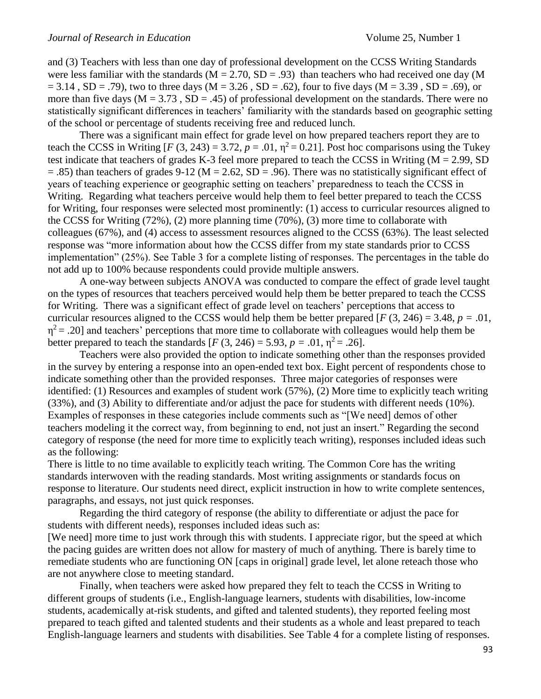and (3) Teachers with less than one day of professional development on the CCSS Writing Standards were less familiar with the standards  $(M = 2.70, SD = .93)$  than teachers who had received one day (M  $= 3.14$ , SD = .79), two to three days (M = 3.26, SD = .62), four to five days (M = 3.39, SD = .69), or more than five days ( $M = 3.73$ ,  $SD = .45$ ) of professional development on the standards. There were no statistically significant differences in teachers' familiarity with the standards based on geographic setting of the school or percentage of students receiving free and reduced lunch.

There was a significant main effect for grade level on how prepared teachers report they are to teach the CCSS in Writing  $[F(3, 243) = 3.72, p = .01, \eta^2 = 0.21]$ . Post hoc comparisons using the Tukey test indicate that teachers of grades K-3 feel more prepared to teach the CCSS in Writing (M = 2.99, SD  $=$  .85) than teachers of grades 9-12 (M = 2.62, SD = .96). There was no statistically significant effect of years of teaching experience or geographic setting on teachers' preparedness to teach the CCSS in Writing. Regarding what teachers perceive would help them to feel better prepared to teach the CCSS for Writing, four responses were selected most prominently: (1) access to curricular resources aligned to the CCSS for Writing (72%), (2) more planning time (70%), (3) more time to collaborate with colleagues (67%), and (4) access to assessment resources aligned to the CCSS (63%). The least selected response was "more information about how the CCSS differ from my state standards prior to CCSS implementation" (25%). See Table 3 for a complete listing of responses. The percentages in the table do not add up to 100% because respondents could provide multiple answers.

A one-way between subjects ANOVA was conducted to compare the effect of grade level taught on the types of resources that teachers perceived would help them be better prepared to teach the CCSS for Writing. There was a significant effect of grade level on teachers' perceptions that access to curricular resources aligned to the CCSS would help them be better prepared  $[F (3, 246) = 3.48, p = .01,$  $\eta^2$  = .20] and teachers' perceptions that more time to collaborate with colleagues would help them be better prepared to teach the standards  $[F (3, 246) = 5.93, p = .01, \eta^2 = .26]$ .

Teachers were also provided the option to indicate something other than the responses provided in the survey by entering a response into an open-ended text box. Eight percent of respondents chose to indicate something other than the provided responses. Three major categories of responses were identified: (1) Resources and examples of student work (57%), (2) More time to explicitly teach writing (33%), and (3) Ability to differentiate and/or adjust the pace for students with different needs (10%). Examples of responses in these categories include comments such as "[We need] demos of other teachers modeling it the correct way, from beginning to end, not just an insert." Regarding the second category of response (the need for more time to explicitly teach writing), responses included ideas such as the following:

There is little to no time available to explicitly teach writing. The Common Core has the writing standards interwoven with the reading standards. Most writing assignments or standards focus on response to literature. Our students need direct, explicit instruction in how to write complete sentences, paragraphs, and essays, not just quick responses.

Regarding the third category of response (the ability to differentiate or adjust the pace for students with different needs), responses included ideas such as:

[We need] more time to just work through this with students. I appreciate rigor, but the speed at which the pacing guides are written does not allow for mastery of much of anything. There is barely time to remediate students who are functioning ON [caps in original] grade level, let alone reteach those who are not anywhere close to meeting standard.

Finally, when teachers were asked how prepared they felt to teach the CCSS in Writing to different groups of students (i.e., English-language learners, students with disabilities, low-income students, academically at-risk students, and gifted and talented students), they reported feeling most prepared to teach gifted and talented students and their students as a whole and least prepared to teach English-language learners and students with disabilities. See Table 4 for a complete listing of responses.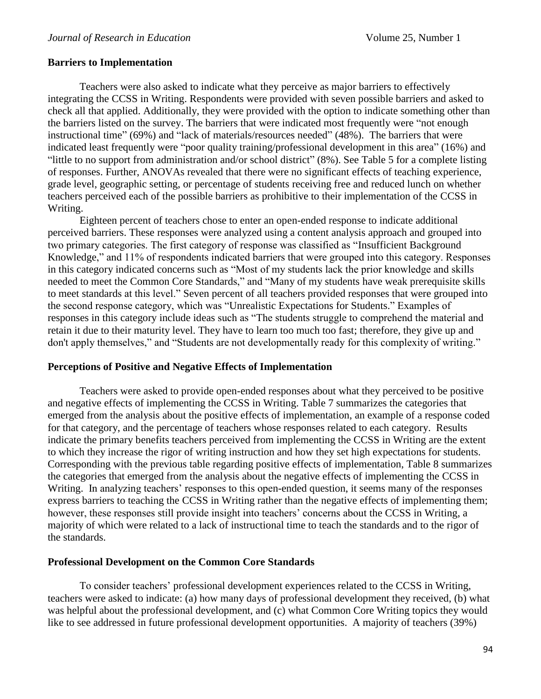#### **Barriers to Implementation**

Teachers were also asked to indicate what they perceive as major barriers to effectively integrating the CCSS in Writing. Respondents were provided with seven possible barriers and asked to check all that applied. Additionally, they were provided with the option to indicate something other than the barriers listed on the survey. The barriers that were indicated most frequently were "not enough instructional time" (69%) and "lack of materials/resources needed" (48%). The barriers that were indicated least frequently were "poor quality training/professional development in this area" (16%) and "little to no support from administration and/or school district" (8%). See Table 5 for a complete listing of responses. Further, ANOVAs revealed that there were no significant effects of teaching experience, grade level, geographic setting, or percentage of students receiving free and reduced lunch on whether teachers perceived each of the possible barriers as prohibitive to their implementation of the CCSS in Writing.

Eighteen percent of teachers chose to enter an open-ended response to indicate additional perceived barriers. These responses were analyzed using a content analysis approach and grouped into two primary categories. The first category of response was classified as "Insufficient Background Knowledge," and 11% of respondents indicated barriers that were grouped into this category. Responses in this category indicated concerns such as "Most of my students lack the prior knowledge and skills needed to meet the Common Core Standards," and "Many of my students have weak prerequisite skills to meet standards at this level." Seven percent of all teachers provided responses that were grouped into the second response category, which was "Unrealistic Expectations for Students." Examples of responses in this category include ideas such as "The students struggle to comprehend the material and retain it due to their maturity level. They have to learn too much too fast; therefore, they give up and don't apply themselves," and "Students are not developmentally ready for this complexity of writing."

#### **Perceptions of Positive and Negative Effects of Implementation**

Teachers were asked to provide open-ended responses about what they perceived to be positive and negative effects of implementing the CCSS in Writing. Table 7 summarizes the categories that emerged from the analysis about the positive effects of implementation, an example of a response coded for that category, and the percentage of teachers whose responses related to each category. Results indicate the primary benefits teachers perceived from implementing the CCSS in Writing are the extent to which they increase the rigor of writing instruction and how they set high expectations for students. Corresponding with the previous table regarding positive effects of implementation, Table 8 summarizes the categories that emerged from the analysis about the negative effects of implementing the CCSS in Writing. In analyzing teachers' responses to this open-ended question, it seems many of the responses express barriers to teaching the CCSS in Writing rather than the negative effects of implementing them; however, these responses still provide insight into teachers' concerns about the CCSS in Writing, a majority of which were related to a lack of instructional time to teach the standards and to the rigor of the standards.

#### **Professional Development on the Common Core Standards**

To consider teachers' professional development experiences related to the CCSS in Writing, teachers were asked to indicate: (a) how many days of professional development they received, (b) what was helpful about the professional development, and (c) what Common Core Writing topics they would like to see addressed in future professional development opportunities. A majority of teachers (39%)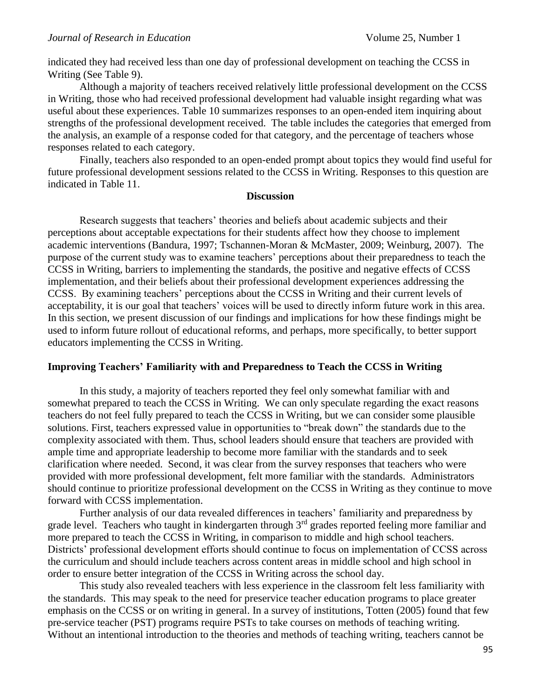indicated they had received less than one day of professional development on teaching the CCSS in Writing (See Table 9).

Although a majority of teachers received relatively little professional development on the CCSS in Writing, those who had received professional development had valuable insight regarding what was useful about these experiences. Table 10 summarizes responses to an open-ended item inquiring about strengths of the professional development received. The table includes the categories that emerged from the analysis, an example of a response coded for that category, and the percentage of teachers whose responses related to each category.

Finally, teachers also responded to an open-ended prompt about topics they would find useful for future professional development sessions related to the CCSS in Writing. Responses to this question are indicated in Table 11.

### **Discussion**

Research suggests that teachers' theories and beliefs about academic subjects and their perceptions about acceptable expectations for their students affect how they choose to implement academic interventions (Bandura, 1997; Tschannen-Moran & McMaster, 2009; Weinburg, 2007). The purpose of the current study was to examine teachers' perceptions about their preparedness to teach the CCSS in Writing, barriers to implementing the standards, the positive and negative effects of CCSS implementation, and their beliefs about their professional development experiences addressing the CCSS. By examining teachers' perceptions about the CCSS in Writing and their current levels of acceptability, it is our goal that teachers' voices will be used to directly inform future work in this area. In this section, we present discussion of our findings and implications for how these findings might be used to inform future rollout of educational reforms, and perhaps, more specifically, to better support educators implementing the CCSS in Writing.

## **Improving Teachers' Familiarity with and Preparedness to Teach the CCSS in Writing**

In this study, a majority of teachers reported they feel only somewhat familiar with and somewhat prepared to teach the CCSS in Writing. We can only speculate regarding the exact reasons teachers do not feel fully prepared to teach the CCSS in Writing, but we can consider some plausible solutions. First, teachers expressed value in opportunities to "break down" the standards due to the complexity associated with them. Thus, school leaders should ensure that teachers are provided with ample time and appropriate leadership to become more familiar with the standards and to seek clarification where needed. Second, it was clear from the survey responses that teachers who were provided with more professional development, felt more familiar with the standards. Administrators should continue to prioritize professional development on the CCSS in Writing as they continue to move forward with CCSS implementation.

Further analysis of our data revealed differences in teachers' familiarity and preparedness by grade level. Teachers who taught in kindergarten through 3<sup>rd</sup> grades reported feeling more familiar and more prepared to teach the CCSS in Writing, in comparison to middle and high school teachers. Districts' professional development efforts should continue to focus on implementation of CCSS across the curriculum and should include teachers across content areas in middle school and high school in order to ensure better integration of the CCSS in Writing across the school day.

This study also revealed teachers with less experience in the classroom felt less familiarity with the standards. This may speak to the need for preservice teacher education programs to place greater emphasis on the CCSS or on writing in general. In a survey of institutions, Totten (2005) found that few pre-service teacher (PST) programs require PSTs to take courses on methods of teaching writing. Without an intentional introduction to the theories and methods of teaching writing, teachers cannot be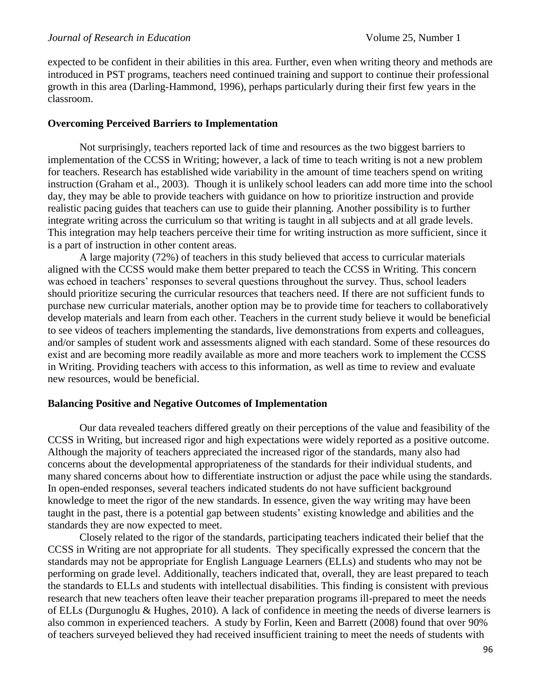expected to be confident in their abilities in this area. Further, even when writing theory and methods are introduced in PST programs, teachers need continued training and support to continue their professional growth in this area (Darling-Hammond, 1996), perhaps particularly during their first few years in the classroom.

## **Overcoming Perceived Barriers to Implementation**

Not surprisingly, teachers reported lack of time and resources as the two biggest barriers to implementation of the CCSS in Writing; however, a lack of time to teach writing is not a new problem for teachers. Research has established wide variability in the amount of time teachers spend on writing instruction (Graham et al., 2003). Though it is unlikely school leaders can add more time into the school day, they may be able to provide teachers with guidance on how to prioritize instruction and provide realistic pacing guides that teachers can use to guide their planning. Another possibility is to further integrate writing across the curriculum so that writing is taught in all subjects and at all grade levels. This integration may help teachers perceive their time for writing instruction as more sufficient, since it is a part of instruction in other content areas.

A large majority (72%) of teachers in this study believed that access to curricular materials aligned with the CCSS would make them better prepared to teach the CCSS in Writing. This concern was echoed in teachers' responses to several questions throughout the survey. Thus, school leaders should prioritize securing the curricular resources that teachers need. If there are not sufficient funds to purchase new curricular materials, another option may be to provide time for teachers to collaboratively develop materials and learn from each other. Teachers in the current study believe it would be beneficial to see videos of teachers implementing the standards, live demonstrations from experts and colleagues, and/or samples of student work and assessments aligned with each standard. Some of these resources do exist and are becoming more readily available as more and more teachers work to implement the CCSS in Writing. Providing teachers with access to this information, as well as time to review and evaluate new resources, would be beneficial.

## **Balancing Positive and Negative Outcomes of Implementation**

Our data revealed teachers differed greatly on their perceptions of the value and feasibility of the CCSS in Writing, but increased rigor and high expectations were widely reported as a positive outcome. Although the majority of teachers appreciated the increased rigor of the standards, many also had concerns about the developmental appropriateness of the standards for their individual students, and many shared concerns about how to differentiate instruction or adjust the pace while using the standards. In open-ended responses, several teachers indicated students do not have sufficient background knowledge to meet the rigor of the new standards. In essence, given the way writing may have been taught in the past, there is a potential gap between students' existing knowledge and abilities and the standards they are now expected to meet.

Closely related to the rigor of the standards, participating teachers indicated their belief that the CCSS in Writing are not appropriate for all students. They specifically expressed the concern that the standards may not be appropriate for English Language Learners (ELLs) and students who may not be performing on grade level. Additionally, teachers indicated that, overall, they are least prepared to teach the standards to ELLs and students with intellectual disabilities. This finding is consistent with previous research that new teachers often leave their teacher preparation programs ill-prepared to meet the needs of ELLs (Durgunoglu & Hughes, 2010). A lack of confidence in meeting the needs of diverse learners is also common in experienced teachers. A study by Forlin, Keen and Barrett (2008) found that over 90% of teachers surveyed believed they had received insufficient training to meet the needs of students with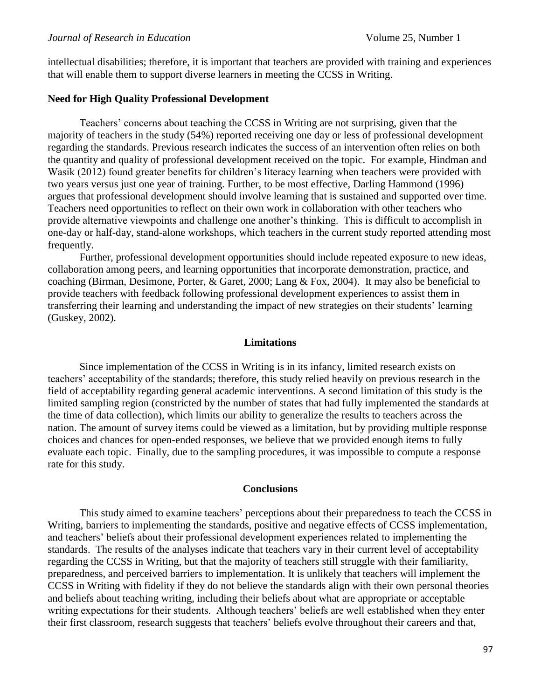intellectual disabilities; therefore, it is important that teachers are provided with training and experiences that will enable them to support diverse learners in meeting the CCSS in Writing.

## **Need for High Quality Professional Development**

Teachers' concerns about teaching the CCSS in Writing are not surprising, given that the majority of teachers in the study (54%) reported receiving one day or less of professional development regarding the standards. Previous research indicates the success of an intervention often relies on both the quantity and quality of professional development received on the topic. For example, Hindman and Wasik (2012) found greater benefits for children's literacy learning when teachers were provided with two years versus just one year of training. Further, to be most effective, Darling Hammond (1996) argues that professional development should involve learning that is sustained and supported over time. Teachers need opportunities to reflect on their own work in collaboration with other teachers who provide alternative viewpoints and challenge one another's thinking. This is difficult to accomplish in one-day or half-day, stand-alone workshops, which teachers in the current study reported attending most frequently.

Further, professional development opportunities should include repeated exposure to new ideas, collaboration among peers, and learning opportunities that incorporate demonstration, practice, and coaching (Birman, Desimone, Porter, & Garet, 2000; Lang & Fox, 2004). It may also be beneficial to provide teachers with feedback following professional development experiences to assist them in transferring their learning and understanding the impact of new strategies on their students' learning (Guskey, 2002).

#### **Limitations**

Since implementation of the CCSS in Writing is in its infancy, limited research exists on teachers' acceptability of the standards; therefore, this study relied heavily on previous research in the field of acceptability regarding general academic interventions. A second limitation of this study is the limited sampling region (constricted by the number of states that had fully implemented the standards at the time of data collection), which limits our ability to generalize the results to teachers across the nation. The amount of survey items could be viewed as a limitation, but by providing multiple response choices and chances for open-ended responses, we believe that we provided enough items to fully evaluate each topic. Finally, due to the sampling procedures, it was impossible to compute a response rate for this study.

#### **Conclusions**

This study aimed to examine teachers' perceptions about their preparedness to teach the CCSS in Writing, barriers to implementing the standards, positive and negative effects of CCSS implementation, and teachers' beliefs about their professional development experiences related to implementing the standards. The results of the analyses indicate that teachers vary in their current level of acceptability regarding the CCSS in Writing, but that the majority of teachers still struggle with their familiarity, preparedness, and perceived barriers to implementation. It is unlikely that teachers will implement the CCSS in Writing with fidelity if they do not believe the standards align with their own personal theories and beliefs about teaching writing, including their beliefs about what are appropriate or acceptable writing expectations for their students. Although teachers' beliefs are well established when they enter their first classroom, research suggests that teachers' beliefs evolve throughout their careers and that,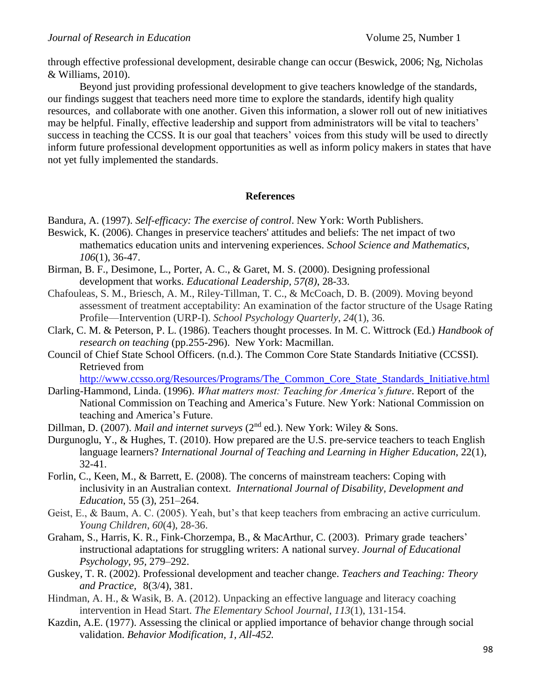through effective professional development, desirable change can occur (Beswick, 2006; Ng, Nicholas & Williams, 2010).

Beyond just providing professional development to give teachers knowledge of the standards, our findings suggest that teachers need more time to explore the standards, identify high quality resources, and collaborate with one another. Given this information, a slower roll out of new initiatives may be helpful. Finally, effective leadership and support from administrators will be vital to teachers' success in teaching the CCSS. It is our goal that teachers' voices from this study will be used to directly inform future professional development opportunities as well as inform policy makers in states that have not yet fully implemented the standards.

## **References**

Bandura, A. (1997). *Self-efficacy: The exercise of control*. New York: Worth Publishers.

- Beswick, K. (2006). Changes in preservice teachers' attitudes and beliefs: The net impact of two mathematics education units and intervening experiences. *School Science and Mathematics*, *106*(1), 36-47.
- Birman, B. F., Desimone, L., Porter, A. C., & Garet, M. S. (2000). Designing professional development that works. *Educational Leadership, 57(8)*, 28-33.
- Chafouleas, S. M., Briesch, A. M., Riley-Tillman, T. C., & McCoach, D. B. (2009). Moving beyond assessment of treatment acceptability: An examination of the factor structure of the Usage Rating Profile—Intervention (URP-I). *School Psychology Quarterly*, *24*(1), 36.
- Clark, C. M. & Peterson, P. L. (1986). Teachers thought processes. In M. C. Wittrock (Ed.) *Handbook of research on teaching* (pp.255-296). New York: Macmillan.
- Council of Chief State School Officers. (n.d.). The Common Core State Standards Initiative (CCSSI)*.*  Retrieved from

[http://www.ccsso.org/Resources/Programs/The\\_Common\\_Core\\_State\\_Standards\\_Initiative.html](http://www.ccsso.org/Resources/Programs/The_Common_Core_State_Standards_Initiative.html)

- Darling-Hammond, Linda. (1996). *What matters most: Teaching for America's future*. Report of the National Commission on Teaching and America's Future. New York: National Commission on teaching and America's Future.
- Dillman, D. (2007). *Mail and internet surveys* (2<sup>nd</sup> ed.). New York: Wiley & Sons.
- Durgunoglu, Y., & Hughes, T. (2010). How prepared are the U.S. pre-service teachers to teach English language learners? *International Journal of Teaching and Learning in Higher Education*, 22(1), 32-41.
- Forlin, C., Keen, M., & Barrett, E. (2008). The concerns of mainstream teachers: Coping with inclusivity in an Australian context. *International Journal of Disability, Development and Education*, 55 (3), 251–264.
- Geist, E., & Baum, A. C. (2005). Yeah, but's that keep teachers from embracing an active curriculum. *Young Children*, *60*(4), 28-36.
- Graham, S., Harris, K. R., Fink-Chorzempa, B., & MacArthur, C. (2003). Primary grade teachers' instructional adaptations for struggling writers: A national survey. *Journal of Educational Psychology, 95,* 279–292.
- Guskey, T. R. (2002). Professional development and teacher change. *Teachers and Teaching: Theory and Practice,* 8(3/4), 381.
- Hindman, A. H., & Wasik, B. A. (2012). Unpacking an effective language and literacy coaching intervention in Head Start. *The Elementary School Journal*, *113*(1), 131-154.
- Kazdin, A.E. (1977). Assessing the clinical or applied importance of behavior change through social validation. *Behavior Modification, 1, All-452.*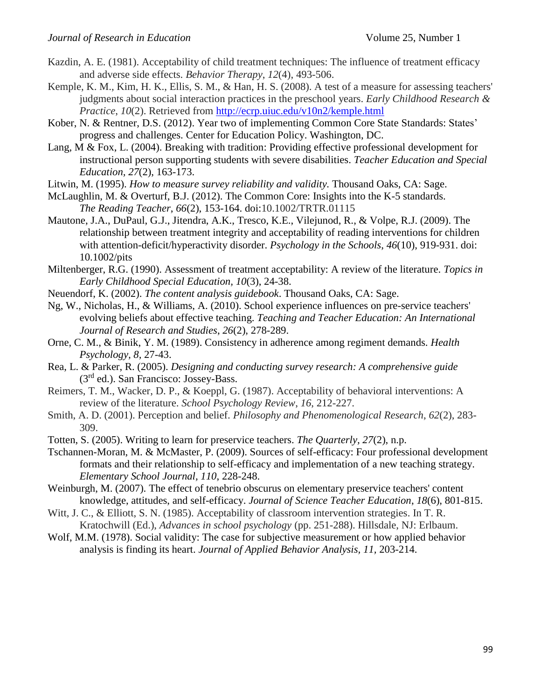- Kazdin, A. E. (1981). Acceptability of child treatment techniques: The influence of treatment efficacy and adverse side effects. *Behavior Therapy*, *12*(4), 493-506.
- Kemple, K. M., Kim, H. K., Ellis, S. M., & Han, H. S. (2008). A test of a measure for assessing teachers' judgments about social interaction practices in the preschool years. *Early Childhood Research & Practice*, *10*(2). Retrieved from<http://ecrp.uiuc.edu/v10n2/kemple.html>
- Kober, N. & Rentner, D.S. (2012). Year two of implementing Common Core State Standards: States' progress and challenges. Center for Education Policy. Washington, DC.
- Lang, M & Fox, L. (2004). Breaking with tradition: Providing effective professional development for instructional person supporting students with severe disabilities. *Teacher Education and Special Education, 27*(2), 163-173.
- Litwin, M. (1995). *How to measure survey reliability and validity.* Thousand Oaks, CA: Sage.
- McLaughlin, M. & Overturf, B.J. (2012). The Common Core: Insights into the K-5 standards. *The Reading Teacher*, *66*(2), 153-164. doi:10.1002/TRTR.01115
- Mautone, J.A., DuPaul, G.J., Jitendra, A.K., Tresco, K.E., Vilejunod, R., & Volpe, R.J. (2009). The relationship between treatment integrity and acceptability of reading interventions for children with attention-deficit/hyperactivity disorder. *Psychology in the Schools*, *46*(10), 919-931. doi: 10.1002/pits
- Miltenberger, R.G. (1990). Assessment of treatment acceptability: A review of the literature. *Topics in Early Childhood Special Education, 10*(3), 24-38.
- Neuendorf, K. (2002). *The content analysis guidebook*. Thousand Oaks, CA: Sage.
- Ng, W., Nicholas, H., & Williams, A. (2010). School experience influences on pre-service teachers' evolving beliefs about effective teaching. *Teaching and Teacher Education: An International Journal of Research and Studies*, *26*(2), 278-289.
- Orne, C. M., & Binik, Y. M. (1989). Consistency in adherence among regiment demands. *Health Psychology, 8,* 27-43.
- Rea, L. & Parker, R. (2005). *Designing and conducting survey research: A comprehensive guide* (3rd ed.). San Francisco: Jossey-Bass.
- Reimers, T. M., Wacker, D. P., & Koeppl, G. (1987). Acceptability of behavioral interventions: A review of the literature. *School Psychology Review*, *16*, 212-227.
- Smith, A. D. (2001). Perception and belief. *Philosophy and Phenomenological Research*, *62*(2), 283- 309.
- Totten, S. (2005). Writing to learn for preservice teachers. *The Quarterly, 27*(2), n.p.
- Tschannen-Moran, M. & McMaster, P. (2009). Sources of self-efficacy: Four professional development formats and their relationship to self-efficacy and implementation of a new teaching strategy. *Elementary School Journal, 110*, 228-248.
- Weinburgh, M. (2007). The effect of tenebrio obscurus on elementary preservice teachers' content knowledge, attitudes, and self-efficacy. *Journal of Science Teacher Education*, *18*(6), 801-815.
- Witt, J. C., & Elliott, S. N. (1985). Acceptability of classroom intervention strategies. In T. R. Kratochwill (Ed.), *Advances in school psychology* (pp. 251-288). Hillsdale, NJ: Erlbaum.
- Wolf, M.M. (1978). Social validity: The case for subjective measurement or how applied behavior analysis is finding its heart. *Journal of Applied Behavior Analysis, 11,* 203-214.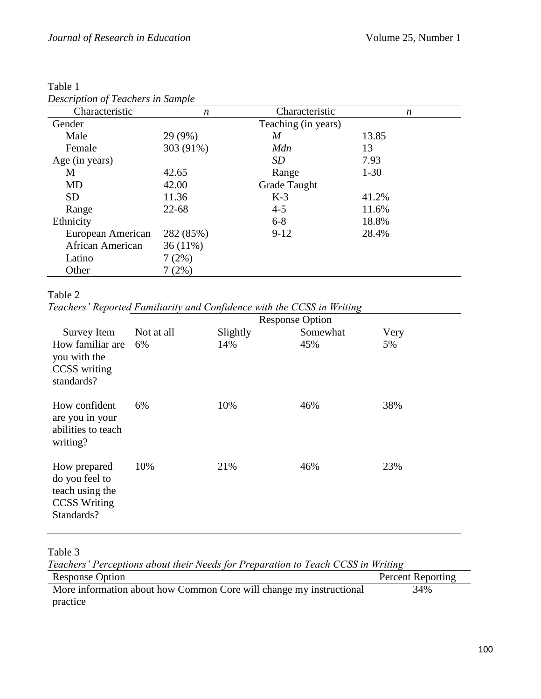| Description of Feachers in Sample |            |                     |          |
|-----------------------------------|------------|---------------------|----------|
| Characteristic                    | n          | Characteristic      | n        |
| Gender                            |            | Teaching (in years) |          |
| Male                              | 29 (9%)    | M                   | 13.85    |
| Female                            | 303 (91%)  | Mdn                 | 13       |
| Age (in years)                    |            | SD                  | 7.93     |
| M                                 | 42.65      | Range               | $1 - 30$ |
| <b>MD</b>                         | 42.00      | Grade Taught        |          |
| <b>SD</b>                         | 11.36      | $K-3$               | 41.2%    |
| Range                             | $22 - 68$  | $4 - 5$             | 11.6%    |
| Ethnicity                         |            | $6 - 8$             | 18.8%    |
| European American                 | 282 (85%)  | $9-12$              | 28.4%    |
| African American                  | $36(11\%)$ |                     |          |
| Latino                            | 7(2%)      |                     |          |
| Other                             | 7(2%)      |                     |          |

Table 1 *Description of Teachers in Sample* 

*Teachers' Reported Familiarity and Confidence with the CCSS in Writing*

|                                                                                        |            |          | <b>Response Option</b> |      |
|----------------------------------------------------------------------------------------|------------|----------|------------------------|------|
| Survey Item                                                                            | Not at all | Slightly | Somewhat               | Very |
| How familiar are<br>you with the<br>CCSS writing<br>standards?                         | 6%         | 14%      | 45%                    | 5%   |
| How confident<br>are you in your<br>abilities to teach<br>writing?                     | 6%         | 10%      | 46%                    | 38%  |
| How prepared<br>do you feel to<br>teach using the<br><b>CCSS Writing</b><br>Standards? | 10%        | 21%      | 46%                    | 23%  |
|                                                                                        |            |          |                        |      |

Table 3

*Teachers' Perceptions about their Needs for Preparation to Teach CCSS in Writing*

| <b>Response Option</b>                                              | <b>Percent Reporting</b> |
|---------------------------------------------------------------------|--------------------------|
| More information about how Common Core will change my instructional | 34%                      |
| practice                                                            |                          |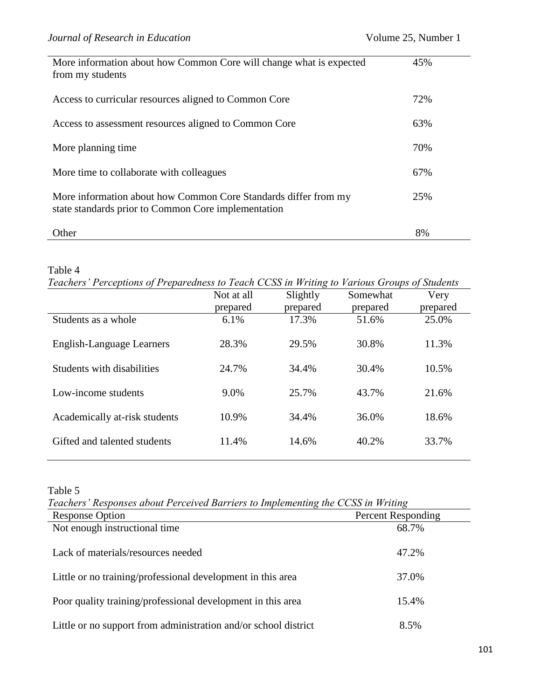| More information about how Common Core will change what is expected<br>from my students                                | 45% |
|------------------------------------------------------------------------------------------------------------------------|-----|
| Access to curricular resources aligned to Common Core                                                                  | 72% |
| Access to assessment resources aligned to Common Core                                                                  | 63% |
| More planning time.                                                                                                    | 70% |
| More time to collaborate with colleagues                                                                               | 67% |
| More information about how Common Core Standards differ from my<br>state standards prior to Common Core implementation | 25% |
| Other                                                                                                                  | 8%  |

*Teachers' Perceptions of Preparedness to Teach CCSS in Writing to Various Groups of Students*

|                               | Not at all<br>prepared | Slightly<br>prepared | Somewhat<br>prepared | Very<br>prepared |
|-------------------------------|------------------------|----------------------|----------------------|------------------|
| Students as a whole           | 6.1%                   | 17.3%                | 51.6%                | 25.0%            |
| English-Language Learners     | 28.3%                  | 29.5%                | 30.8%                | 11.3%            |
| Students with disabilities    | 24.7%                  | 34.4%                | 30.4%                | 10.5%            |
| Low-income students           | 9.0%                   | 25.7%                | 43.7%                | 21.6%            |
| Academically at-risk students | 10.9%                  | 34.4%                | 36.0%                | 18.6%            |
| Gifted and talented students  | 11.4%                  | 14.6%                | 40.2%                | 33.7%            |

# Table 5

*Teachers' Responses about Perceived Barriers to Implementing the CCSS in Writing*

| <b>Response Option</b>                                          | <b>Percent Responding</b> |
|-----------------------------------------------------------------|---------------------------|
| Not enough instructional time                                   | 68.7%                     |
| Lack of materials/resources needed                              | 47.2%                     |
| Little or no training/professional development in this area     | 37.0%                     |
| Poor quality training/professional development in this area     | 15.4%                     |
| Little or no support from administration and/or school district | 8.5%                      |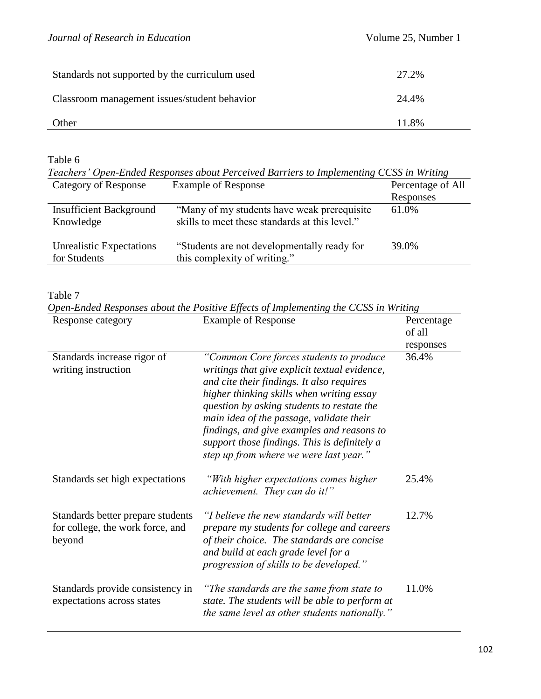| Standards not supported by the curriculum used | 27.2% |
|------------------------------------------------|-------|
| Classroom management issues/student behavior   | 24.4% |
| Other                                          | 11.8% |

*Teachers' Open-Ended Responses about Perceived Barriers to Implementing CCSS in Writing*

| Category of Response                            | <b>Example of Response</b>                                                                     | Percentage of All |
|-------------------------------------------------|------------------------------------------------------------------------------------------------|-------------------|
|                                                 |                                                                                                | Responses         |
| <b>Insufficient Background</b><br>Knowledge     | "Many of my students have weak prerequisite"<br>skills to meet these standards at this level." | 61.0%             |
| <b>Unrealistic Expectations</b><br>for Students | "Students are not developmentally ready for<br>this complexity of writing."                    | 39.0%             |

#### Table 7

*Open-Ended Responses about the Positive Effects of Implementing the CCSS in Writing*

| Response category                                                               | <b>Example of Response</b>                                                                                                                                                                                                                                                                                                                                                                                           | Percentage<br>of all<br>responses |
|---------------------------------------------------------------------------------|----------------------------------------------------------------------------------------------------------------------------------------------------------------------------------------------------------------------------------------------------------------------------------------------------------------------------------------------------------------------------------------------------------------------|-----------------------------------|
| Standards increase rigor of<br>writing instruction                              | "Common Core forces students to produce<br>writings that give explicit textual evidence,<br>and cite their findings. It also requires<br>higher thinking skills when writing essay<br>question by asking students to restate the<br>main idea of the passage, validate their<br>findings, and give examples and reasons to<br>support those findings. This is definitely a<br>step up from where we were last year." | 36.4%                             |
| Standards set high expectations                                                 | "With higher expectations comes higher<br>achievement. They can do it!"                                                                                                                                                                                                                                                                                                                                              | 25.4%                             |
| Standards better prepare students<br>for college, the work force, and<br>beyond | "I believe the new standards will better<br>prepare my students for college and careers<br>of their choice. The standards are concise<br>and build at each grade level for a<br>progression of skills to be developed."                                                                                                                                                                                              | 12.7%                             |
| Standards provide consistency in<br>expectations across states                  | "The standards are the same from state to<br>state. The students will be able to perform at<br>the same level as other students nationally."                                                                                                                                                                                                                                                                         | 11.0%                             |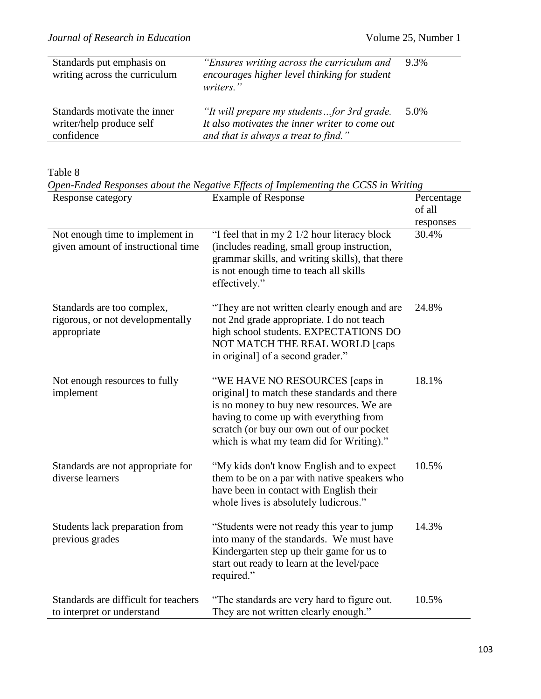| Standards put emphasis on<br>writing across the curriculum             | "Ensures writing across the curriculum and<br>encourages higher level thinking for student<br>writers."                              | 9.3% |
|------------------------------------------------------------------------|--------------------------------------------------------------------------------------------------------------------------------------|------|
| Standards motivate the inner<br>writer/help produce self<br>confidence | "It will prepare my studentsfor 3rd grade.<br>It also motivates the inner writer to come out<br>and that is always a treat to find." | 5.0% |

Table 8

*Open-Ended Responses about the Negative Effects of Implementing the CCSS in Writing*

| Response category                                                             | <b>Example of Response</b>                                                                                                                                                                                                                                    |                    |
|-------------------------------------------------------------------------------|---------------------------------------------------------------------------------------------------------------------------------------------------------------------------------------------------------------------------------------------------------------|--------------------|
| Not enough time to implement in<br>given amount of instructional time         | "I feel that in my 2 1/2 hour literacy block<br>(includes reading, small group instruction,<br>grammar skills, and writing skills), that there<br>is not enough time to teach all skills<br>effectively."                                                     | responses<br>30.4% |
| Standards are too complex,<br>rigorous, or not developmentally<br>appropriate | "They are not written clearly enough and are<br>not 2nd grade appropriate. I do not teach<br>high school students. EXPECTATIONS DO<br>NOT MATCH THE REAL WORLD [caps<br>in original] of a second grader."                                                     | 24.8%              |
| Not enough resources to fully<br>implement                                    | "WE HAVE NO RESOURCES [caps in<br>original] to match these standards and there<br>is no money to buy new resources. We are<br>having to come up with everything from<br>scratch (or buy our own out of our pocket<br>which is what my team did for Writing)." | 18.1%              |
| Standards are not appropriate for<br>diverse learners                         | "My kids don't know English and to expect<br>them to be on a par with native speakers who<br>have been in contact with English their<br>whole lives is absolutely ludicrous."                                                                                 | 10.5%              |
| Students lack preparation from<br>previous grades                             | "Students were not ready this year to jump<br>into many of the standards. We must have<br>Kindergarten step up their game for us to<br>start out ready to learn at the level/pace<br>required."                                                               | 14.3%              |
| Standards are difficult for teachers<br>to interpret or understand            | "The standards are very hard to figure out.<br>They are not written clearly enough."                                                                                                                                                                          | 10.5%              |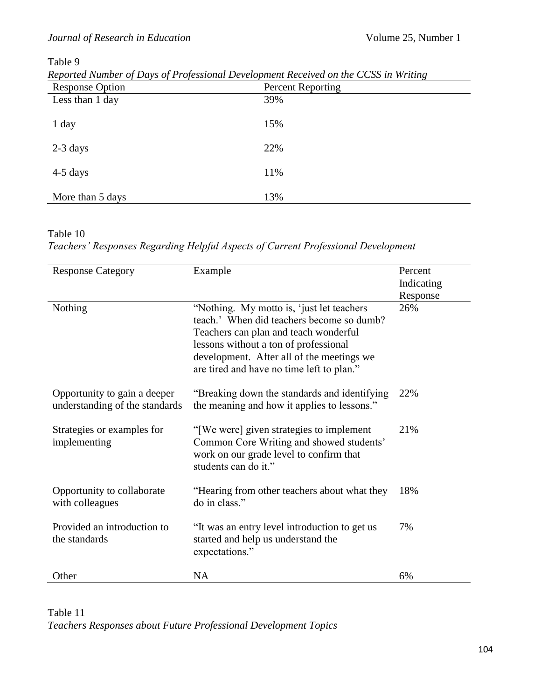| Reported Number of Days of Professional Development Received on the CCSS in Writing |  |  |  |  |  |
|-------------------------------------------------------------------------------------|--|--|--|--|--|
|-------------------------------------------------------------------------------------|--|--|--|--|--|

| <b>Response Option</b> | <b>Percent Reporting</b> |
|------------------------|--------------------------|
| Less than 1 day        | 39%                      |
| 1 day                  | 15%                      |
| $2-3$ days             | 22%                      |
| $4-5$ days             | 11%                      |
| More than 5 days       | 13%                      |

Table 10

*Teachers' Responses Regarding Helpful Aspects of Current Professional Development* 

| <b>Response Category</b>                                       | Example                                                                                                                                                                                                                                                             | Percent<br>Indicating |
|----------------------------------------------------------------|---------------------------------------------------------------------------------------------------------------------------------------------------------------------------------------------------------------------------------------------------------------------|-----------------------|
| Nothing                                                        | "Nothing. My motto is, 'just let teachers'<br>teach.' When did teachers become so dumb?<br>Teachers can plan and teach wonderful<br>lessons without a ton of professional<br>development. After all of the meetings we<br>are tired and have no time left to plan." | Response<br>26%       |
| Opportunity to gain a deeper<br>understanding of the standards | "Breaking down the standards and identifying<br>the meaning and how it applies to lessons."                                                                                                                                                                         | 22%                   |
| Strategies or examples for<br>implementing                     | "[We were] given strategies to implement<br>Common Core Writing and showed students'<br>work on our grade level to confirm that<br>students can do it."                                                                                                             | 21%                   |
| Opportunity to collaborate<br>with colleagues                  | "Hearing from other teachers about what they<br>do in class."                                                                                                                                                                                                       | 18%                   |
| Provided an introduction to<br>the standards                   | "It was an entry level introduction to get us<br>started and help us understand the<br>expectations."                                                                                                                                                               | 7%                    |
| Other                                                          | <b>NA</b>                                                                                                                                                                                                                                                           | 6%                    |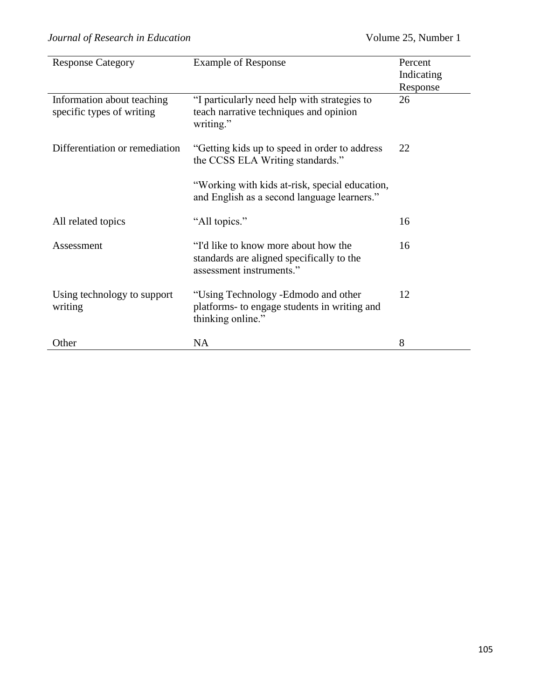| <b>Response Category</b>                                | <b>Example of Response</b>                                                                                    | Percent                |
|---------------------------------------------------------|---------------------------------------------------------------------------------------------------------------|------------------------|
|                                                         |                                                                                                               | Indicating<br>Response |
| Information about teaching<br>specific types of writing | "I particularly need help with strategies to<br>teach narrative techniques and opinion<br>writing."           | 26                     |
| Differentiation or remediation                          | "Getting kids up to speed in order to address"<br>the CCSS ELA Writing standards."                            | 22                     |
|                                                         | "Working with kids at-risk, special education,<br>and English as a second language learners."                 |                        |
| All related topics                                      | "All topics."                                                                                                 | 16                     |
| Assessment                                              | "I'd like to know more about how the<br>standards are aligned specifically to the<br>assessment instruments." | 16                     |
| Using technology to support<br>writing                  | "Using Technology -Edmodo and other<br>platforms- to engage students in writing and<br>thinking online."      | 12                     |
| Other                                                   | NA                                                                                                            | 8                      |